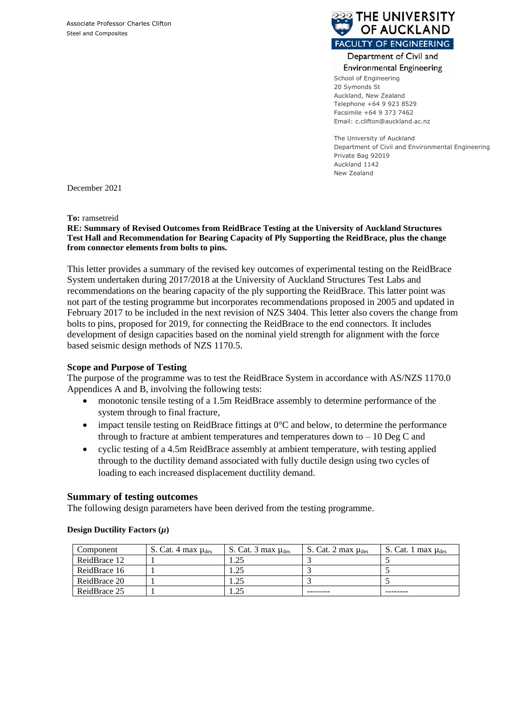

#### Department of Civil and **Environmental Engineering**

School of Engineering 20 Symonds St Auckland, New Zealand Telephone +64 9 923 8529 Facsimile +64 9 373 7462 Email: c.clifton@auckland.ac.nz

The University of Auckland Department of Civil and Environmental Engineering Private Bag 92019 Auckland 1142 New Zealand

December 2021

**To:** ramsetreid

**RE: Summary of Revised Outcomes from ReidBrace Testing at the University of Auckland Structures Test Hall and Recommendation for Bearing Capacity of Ply Supporting the ReidBrace, plus the change from connector elements from bolts to pins.** 

This letter provides a summary of the revised key outcomes of experimental testing on the ReidBrace System undertaken during 2017/2018 at the University of Auckland Structures Test Labs and recommendations on the bearing capacity of the ply supporting the ReidBrace. This latter point was not part of the testing programme but incorporates recommendations proposed in 2005 and updated in February 2017 to be included in the next revision of NZS 3404. This letter also covers the change from bolts to pins, proposed for 2019, for connecting the ReidBrace to the end connectors. It includes development of design capacities based on the nominal yield strength for alignment with the force based seismic design methods of NZS 1170.5.

# **Scope and Purpose of Testing**

The purpose of the programme was to test the ReidBrace System in accordance with AS/NZS 1170.0 Appendices A and B, involving the following tests:

- monotonic tensile testing of a 1.5m ReidBrace assembly to determine performance of the system through to final fracture,
- impact tensile testing on ReidBrace fittings at  $0^{\circ}$ C and below, to determine the performance through to fracture at ambient temperatures and temperatures down to  $-10$  Deg C and
- cyclic testing of a 4.5m ReidBrace assembly at ambient temperature, with testing applied through to the ductility demand associated with fully ductile design using two cycles of loading to each increased displacement ductility demand.

# **Summary of testing outcomes**

The following design parameters have been derived from the testing programme.

| Component    | S. Cat. 4 max $\mu_{\text{des}}$ | S. Cat. $3 \text{ max } \mu_{\text{des}}$ | S. Cat. 2 max $\mu_{\text{des}}$ | S. Cat. 1 max $\mu_{\text{des}}$ |
|--------------|----------------------------------|-------------------------------------------|----------------------------------|----------------------------------|
| ReidBrace 12 |                                  | .25                                       |                                  |                                  |
| ReidBrace 16 |                                  | .25                                       |                                  |                                  |
| ReidBrace 20 |                                  | .25                                       |                                  |                                  |
| ReidBrace 25 |                                  | . 25                                      |                                  |                                  |

## **Design Ductility Factors**  $(\mu)$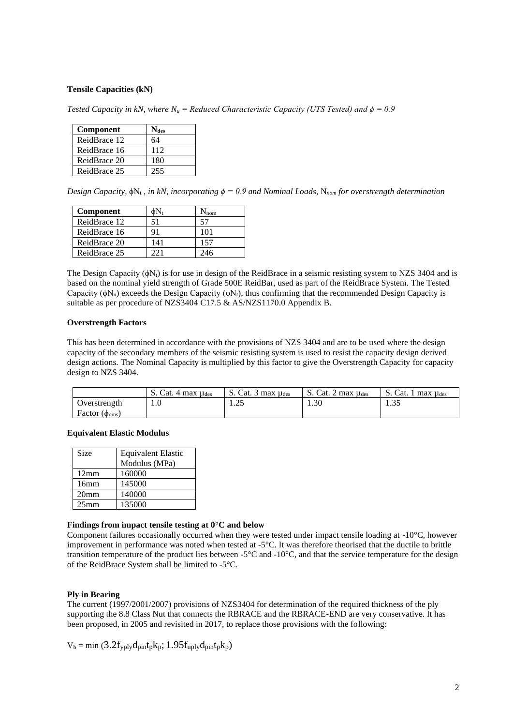## **Tensile Capacities (kN)**

*Tested Capacity in kN, where*  $N_u$  *= Reduced Characteristic Capacity (UTS Tested) and*  $\phi = 0.9$ 

| Component    | <b>Ndes</b> |
|--------------|-------------|
| ReidBrace 12 | 64          |
| ReidBrace 16 | 112         |
| ReidBrace 20 | 180         |
| ReidBrace 25 | 255         |

*Design Capacity,*  $\phi$ N<sub>t</sub>, *in kN, incorporating*  $\phi = 0.9$  *and Nominal Loads, N<sub>nom</sub> for overstrength determination* 

| <b>Component</b> |     | nom |
|------------------|-----|-----|
| ReidBrace 12     | 51  |     |
| ReidBrace 16     |     | 101 |
| ReidBrace 20     | 141 | 157 |
| ReidBrace 25     |     | 246 |

The Design Capacity  $(\phi N_t)$  is for use in design of the ReidBrace in a seismic resisting system to NZS 3404 and is based on the nominal yield strength of Grade 500E ReidBar, used as part of the ReidBrace System. The Tested Capacity ( $\phi$ N<sub>u</sub>) exceeds the Design Capacity ( $\phi$ N<sub>t</sub>), thus confirming that the recommended Design Capacity is suitable as per procedure of NZS3404 C17.5 & AS/NZS1170.0 Appendix B.

## **Overstrength Factors**

This has been determined in accordance with the provisions of NZS 3404 and are to be used where the design capacity of the secondary members of the seismic resisting system is used to resist the capacity design derived design actions. The Nominal Capacity is multiplied by this factor to give the Overstrength Capacity for capacity design to NZS 3404.

|                              | S. Cat. 4 max $\mu_{\text{des}}$ | S. Cat. $3 \text{ max } \mu_{\text{des}}$ | S. Cat. 2 max $\mu_{\text{des}}$ | . Cat. 1 max $\mu_{\text{des}}$<br>D. |
|------------------------------|----------------------------------|-------------------------------------------|----------------------------------|---------------------------------------|
| Overstrength                 | 1.0                              | $\bigcap$<br>1.4J                         | $\mathcal{L}$<br>1.3U            | $\Omega$<br>ر. ب                      |
| Factor $(\phi_{\text{oms}})$ |                                  |                                           |                                  |                                       |

#### **Equivalent Elastic Modulus**

| Size             | <b>Equivalent Elastic</b> |  |
|------------------|---------------------------|--|
|                  | Modulus (MPa)             |  |
| 12mm             | 160000                    |  |
| 16mm             | 145000                    |  |
| 20 <sub>mm</sub> | 140000                    |  |
| 25 <sub>mm</sub> | 135000                    |  |

#### **Findings from impact tensile testing at 0°C and below**

Component failures occasionally occurred when they were tested under impact tensile loading at -10°C, however improvement in performance was noted when tested at -5°C. It was therefore theorised that the ductile to brittle transition temperature of the product lies between  $-5^{\circ}\text{C}$  and  $-10^{\circ}\text{C}$ , and that the service temperature for the design of the ReidBrace System shall be limited to -5°C.

## **Ply in Bearing**

The current (1997/2001/2007) provisions of NZS3404 for determination of the required thickness of the ply supporting the 8.8 Class Nut that connects the RBRACE and the RBRACE-END are very conservative. It has been proposed, in 2005 and revisited in 2017, to replace those provisions with the following:

 $V_b = min(3.2f_{yply}d_{pin}t_{p}k_{p}; 1.95f_{up}t_{y}d_{pin}t_{p}k_{p})$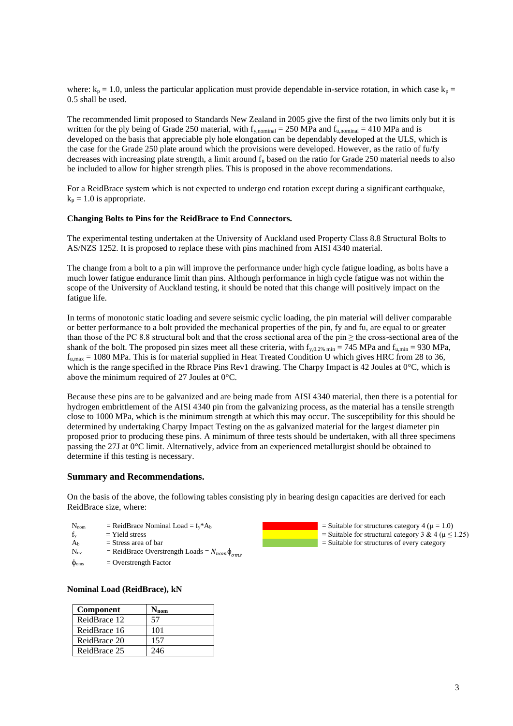where:  $k_p = 1.0$ , unless the particular application must provide dependable in-service rotation, in which case  $k_p =$ 0.5 shall be used.

The recommended limit proposed to Standards New Zealand in 2005 give the first of the two limits only but it is written for the ply being of Grade 250 material, with  $f_{y,nominal} = 250$  MPa and  $f_{u,nominal} = 410$  MPa and is developed on the basis that appreciable ply hole elongation can be dependably developed at the ULS, which is the case for the Grade 250 plate around which the provisions were developed. However, as the ratio of fu/fy decreases with increasing plate strength, a limit around  $f<sub>u</sub>$  based on the ratio for Grade 250 material needs to also be included to allow for higher strength plies. This is proposed in the above recommendations.

For a ReidBrace system which is not expected to undergo end rotation except during a significant earthquake,  $k_p = 1.0$  is appropriate.

#### **Changing Bolts to Pins for the ReidBrace to End Connectors.**

The experimental testing undertaken at the University of Auckland used Property Class 8.8 Structural Bolts to AS/NZS 1252. It is proposed to replace these with pins machined from AISI 4340 material.

The change from a bolt to a pin will improve the performance under high cycle fatigue loading, as bolts have a much lower fatigue endurance limit than pins. Although performance in high cycle fatigue was not within the scope of the University of Auckland testing, it should be noted that this change will positively impact on the fatigue life.

In terms of monotonic static loading and severe seismic cyclic loading, the pin material will deliver comparable or better performance to a bolt provided the mechanical properties of the pin, fy and fu, are equal to or greater than those of the PC 8.8 structural bolt and that the cross sectional area of the pin  $\geq$  the cross-sectional area of the shank of the bolt. The proposed pin sizes meet all these criteria, with  $f_{y,0.2\% \text{ min}} = 745 \text{ MPa}$  and  $f_{u,\text{min}} = 930 \text{ MPa}$ ,  $f_{\text{u,max}} = 1080 \text{ MPa}$ . This is for material supplied in Heat Treated Condition U which gives HRC from 28 to 36, which is the range specified in the Rbrace Pins Rev1 drawing. The Charpy Impact is 42 Joules at 0°C, which is above the minimum required of 27 Joules at 0°C.

Because these pins are to be galvanized and are being made from AISI 4340 material, then there is a potential for hydrogen embrittlement of the AISI 4340 pin from the galvanizing process, as the material has a tensile strength close to 1000 MPa, which is the minimum strength at which this may occur. The susceptibility for this should be determined by undertaking Charpy Impact Testing on the as galvanized material for the largest diameter pin proposed prior to producing these pins. A minimum of three tests should be undertaken, with all three specimens passing the 27J at 0°C limit. Alternatively, advice from an experienced metallurgist should be obtained to determine if this testing is necessary.

## **Summary and Recommendations.**

On the basis of the above, the following tables consisting ply in bearing design capacities are derived for each ReidBrace size, where:

- $N_{\text{nom}}$  = ReidBrace Nominal Load =  $f_y * A_b$ <br> $f_y$  = Yield stress  $=$  Yield stress
- $A_b$  = Stress area of bar
- $N_{ov}$  = ReidBrace Overstrength Loads =  $N_{nom}\phi_{oms}$
- $\phi_{\text{oms}}$  = Overstrength Factor

# **Nominal Load (ReidBrace), kN**

| Component    | $N_{\rm nom}$ |
|--------------|---------------|
| ReidBrace 12 | 57            |
| ReidBrace 16 | 101           |
| ReidBrace 20 | 157           |
| ReidBrace 25 | 246           |

 $=$  Suitable for structures category 4 ( $\mu$  = 1.0) = Suitable for structural category 3 & 4 ( $\mu \le 1.25$ )

= Suitable for structures of every category